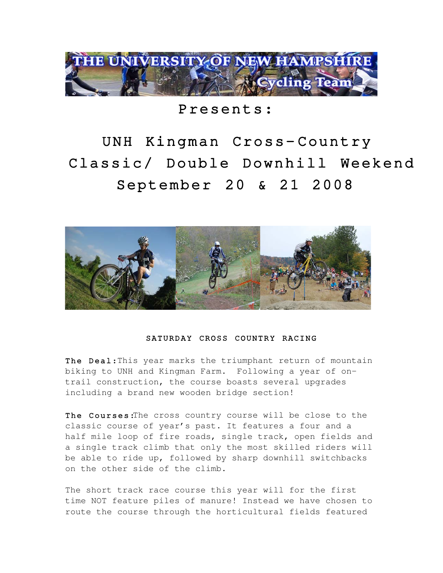

Presents:

UNH Kingman Cross-Country Classic/ Double Downhill Weekend September 20 & 21 2008



## SATURDAY CROSS COUNTRY RACING

The Deal: This year marks the triumphant return of mountain biking to UNH and Kingman Farm. Following a year of ontrail construction, the course boasts several upgrades including a brand new wooden bridge section!

The Courses: The cross country course will be close to the classic course of year's past. It features a four and a half mile loop of fire roads, single track, open fields and a single track climb that only the most skilled riders will be able to ride up, followed by sharp downhill switchbacks on the other side of the climb.

The short track race course this year will for the first time NOT feature piles of manure! Instead we have chosen to route the course through the horticultural fields featured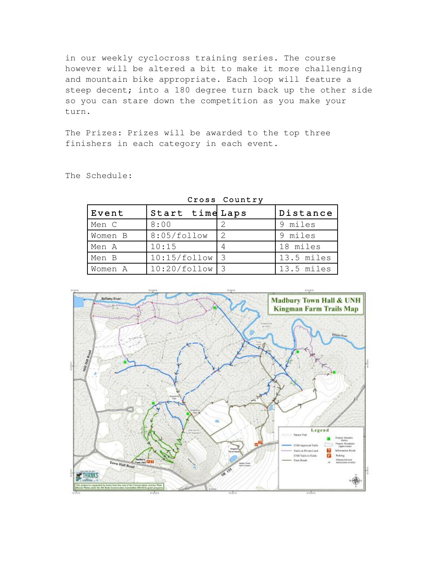in our weekly cyclocross training series. The course however will be altered a bit to make it more challenging and mountain bike appropriate. Each loop will feature a steep decent; into a 180 degree turn back up the other side so you can stare down the competition as you make your turn.

The Prizes: Prizes will be awarded to the top three finishers in each category in each event.

| Cross Country |                 |               |            |  |
|---------------|-----------------|---------------|------------|--|
| Event         | Start time Laps |               | Distance   |  |
| Men C         | 8:00            |               | 9 miles    |  |
| Women B       | 8:05/follow     | $\mathcal{L}$ | 9 miles    |  |
| Men A         | 10:15           | 4             | 18 miles   |  |
| Men B         | 10:15/follow    |               | 13.5 miles |  |
| Women A       | 10:20/follow    |               | 13.5 miles |  |

The Schedule:



### Cross Country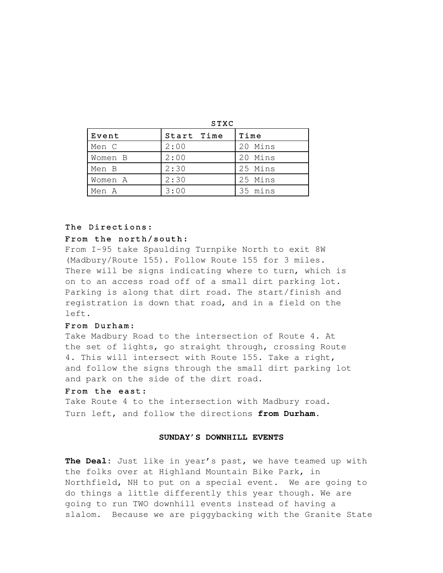| ۰.<br>×<br>٠<br>۰.<br>٧ |  |  |  |  |  |
|-------------------------|--|--|--|--|--|
|-------------------------|--|--|--|--|--|

| Event   | Start Time | Time    |
|---------|------------|---------|
| Men C   | 2:00       | 20 Mins |
| Women B | 2:00       | 20 Mins |
| Men B   | 2:30       | 25 Mins |
| Women A | 2:30       | 25 Mins |
| Men A   | 3:00       | 35 mins |

## The Directions:

## From the north/south:

From I-95 take Spaulding Turnpike North to exit 8W (Madbury/Route 155). Follow Route 155 for 3 miles. There will be signs indicating where to turn, which is on to an access road off of a small dirt parking lot. Parking is along that dirt road. The start/finish and registration is down that road, and in a field on the left.

## From Durham :

Take Madbury Road to the intersection of Route 4. At the set of lights, go straight through, crossing Route 4. This will intersect with Route 155. Take a right, and follow the signs through the small dirt parking lot and park on the side of the dirt road.

#### From the east:

Take Route 4 to the intersection with Madbury road. Turn left, and follow the directions **from Durham.**

### **SUNDAY'S DOWNHILL EVENTS**

**The Deal:** Just like in year's past, we have teamed up with the folks over at Highland Mountain Bike Park, in Northfield, NH to put on a special event. We are going to do things a little differently this year though. We are going to run TWO downhill events instead of having a slalom. Because we are piggybacking with the Granite State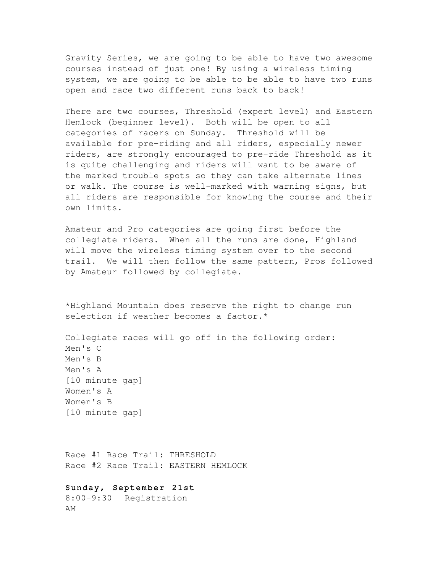Gravity Series, we are going to be able to have two awesome courses instead of just one! By using a wireless timing system, we are going to be able to be able to have two runs open and race two different runs back to back!

There are two courses, Threshold (expert level) and Eastern Hemlock (beginner level). Both will be open to all categories of racers on Sunday. Threshold will be available for pre-riding and all riders, especially newer riders, are strongly encouraged to pre-ride Threshold as it is quite challenging and riders will want to be aware of the marked trouble spots so they can take alternate lines or walk. The course is well-marked with warning signs, but all riders are responsible for knowing the course and their own limits.

Amateur and Pro categories are going first before the collegiate riders. When all the runs are done, Highland will move the wireless timing system over to the second trail. We will then follow the same pattern, Pros followed by Amateur followed by collegiate.

\*Highland Mountain does reserve the right to change run selection if weather becomes a factor.\*

Collegiate races will go off in the following order: Men's C Men's B Men's A [10 minute gap] Women's A Women's B [10 minute gap]

Race #1 Race Trail: THRESHOLD Race #2 Race Trail: EASTERN HEMLOCK

## Sunday, September 21st

8:00-9:30 Registration AM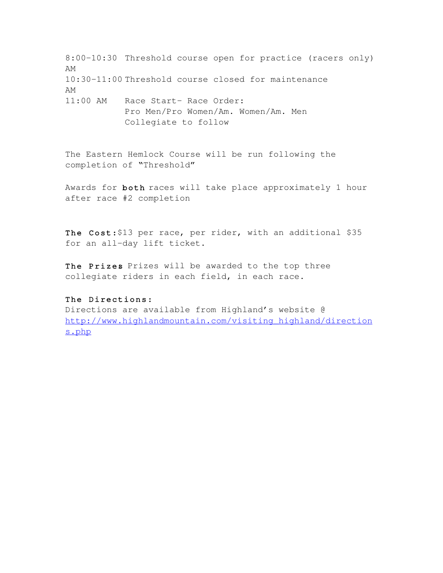8:00-10:30 Threshold course open for practice (racers only) AM 10:30-11:00 Threshold course closed for maintenance AM 11:00 AM Race Start- Race Order: Pro Men/Pro Women/Am. Women/Am. Men Collegiate to follow

The Eastern Hemlock Course will be run following the completion of "Threshold"

Awards for both races will take place approximately 1 hour after race #2 completion

The Cost: \$13 per race, per rider, with an additional \$35 for an all-day lift ticket.

The Prizes Prizes will be awarded to the top three collegiate riders in each field, in each race.

## The Directions:

Directions are available from Highland's website @ [http://www.highlandmountain.com/visiting\\_highland/direction](http://www.highlandmountain.com/visiting_highland/directions.php) [s.php](http://www.highlandmountain.com/visiting_highland/directions.php)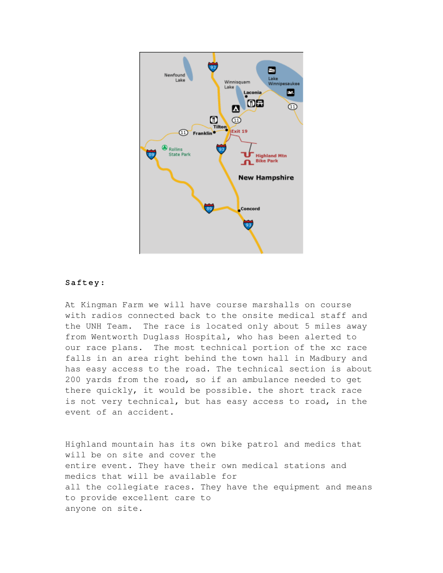

## Saftey :

At Kingman Farm we will have course marshalls on course with radios connected back to the onsite medical staff and the UNH Team. The race is located only about 5 miles away from Wentworth Duglass Hospital, who has been alerted to our race plans. The most technical portion of the xc race falls in an area right behind the town hall in Madbury and has easy access to the road. The technical section is about 200 yards from the road, so if an ambulance needed to get there quickly, it would be possible. the short track race is not very technical, but has easy access to road, in the event of an accident.

Highland mountain has its own bike patrol and medics that will be on site and cover the entire event. They have their own medical stations and medics that will be available for all the collegiate races. They have the equipment and means to provide excellent care to anyone on site.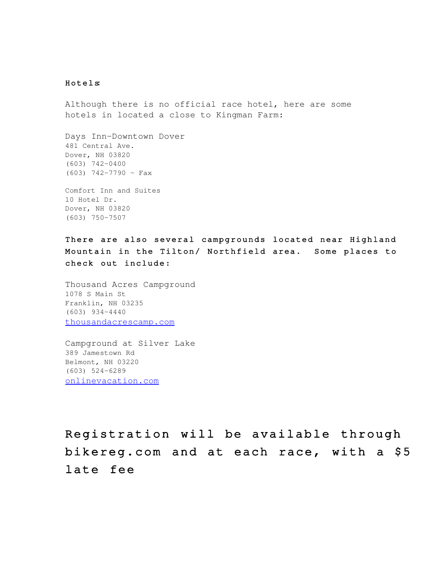## Hotels:

Although there is no official race hotel, here are some hotels in located a close to Kingman Farm:

Days Inn-Downtown Dover 481 Central Ave. Dover, NH 03820  $(603) 742 - 0400$  $(603)$  742-7790 - Fax

Comfort Inn and Suites 10 Hotel Dr. Dover, NH 03820  $(603)$  750-7507

There are also several campgrounds located near Highland Mountain in the Tilton/ Northfield area. Some places to check out include:

Thousand Acres Campground 1078 S Main St Franklin, NH 03235  $(603)$  934-4440 [thousandacrescamp.com](http://maps.google.com/local_url?q=http://www.thousandacrescamp.com/&dq=camping+tilton+nh&hl=en&ie=UTF8&fb=1&view=text&cd=1&latlng=43399833,-71648506,1157129336057116859&ei=PCfHSIqRJ4GeqwKd2b3fCQ&oi=miwd&sa=X&ct=miw_link&cad=homepage&s=ANYYN7nDZFQtNlTW5bjeGAlUrmqBYewUTw)

Campground at Silver Lake 389 Jamestown Rd Belmont, NH 03220  $(603) 524-6289$ [onlinevacation.com](http://maps.google.com/local_url?q=http://www.onlinevacation.com/silverlake/&dq=camping+tilton+nh&hl=en&ie=UTF8&fb=1&view=text&cd=1&latlng=43452481,-71517914,5812643066649619368&ei=4SfHSJjrGJXYrQLw1qmYCg&oi=miwd&sa=X&ct=miw_link&cad=homepage&s=ANYYN7k5gN3QRFufQmV89ClegYzE8WaQhw)

Registration will be available through bikereg.com and at each race, with a \$5 late fee